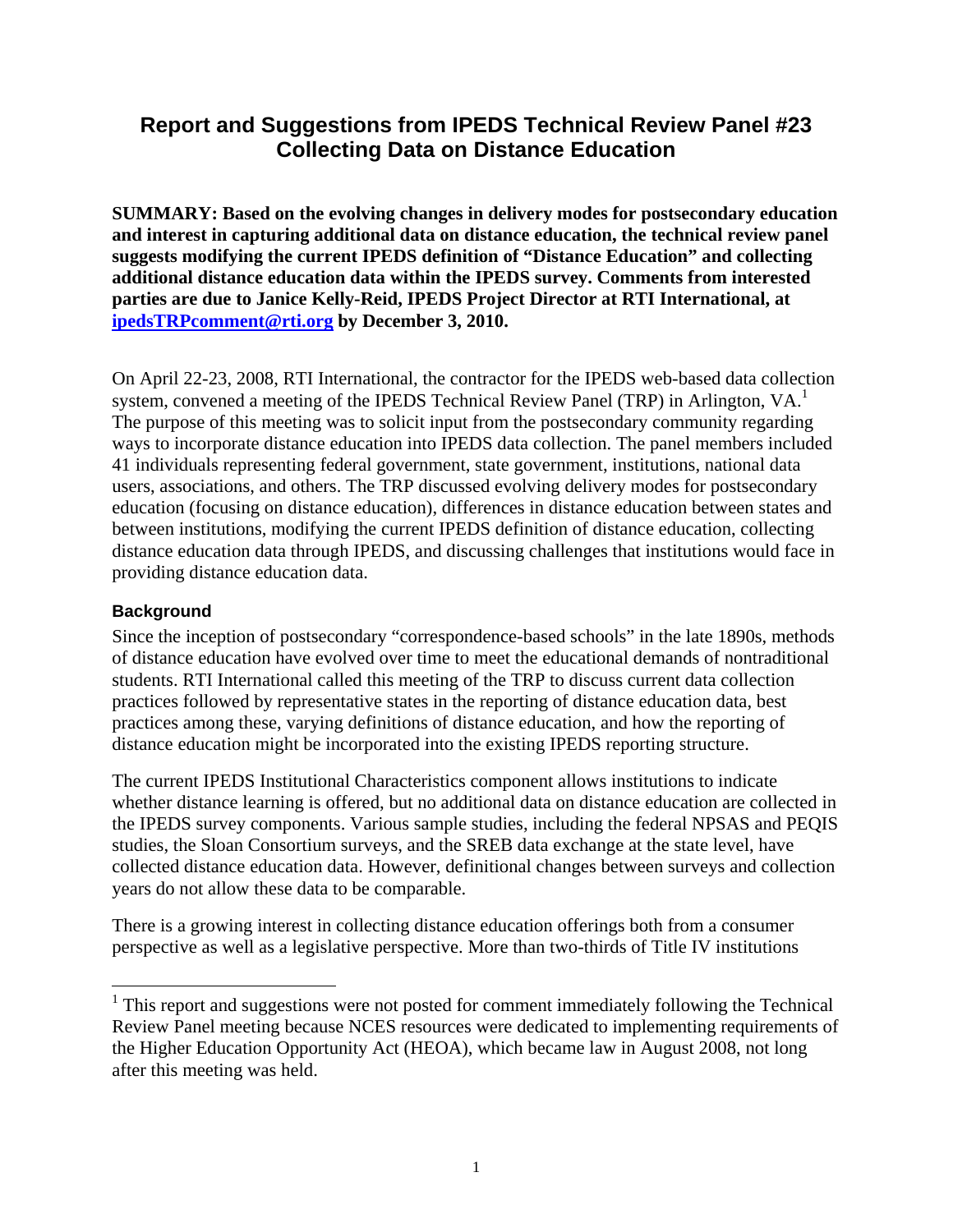# **Report and Suggestions from IPEDS Technical Review Panel #23 Collecting Data on Distance Education**

**SUMMARY: Based on the evolving changes in delivery modes for postsecondary education and interest in capturing additional data on distance education, the technical review panel suggests modifying the current IPEDS definition of "Distance Education" and collecting additional distance education data within the IPEDS survey. Comments from interested parties are due to Janice Kelly-Reid, IPEDS Project Director at RTI International, at ipedsTRPcomment@rti.org by December 3, 2010.** 

On April 22-23, 2008, RTI International, the contractor for the IPEDS web-based data collection system, convened a meeting of the IPEDS Technical Review Panel (TRP) in Arlington, VA.<sup>1</sup> The purpose of this meeting was to solicit input from the postsecondary community regarding ways to incorporate distance education into IPEDS data collection. The panel members included 41 individuals representing federal government, state government, institutions, national data users, associations, and others. The TRP discussed evolving delivery modes for postsecondary education (focusing on distance education), differences in distance education between states and between institutions, modifying the current IPEDS definition of distance education, collecting distance education data through IPEDS, and discussing challenges that institutions would face in providing distance education data.

#### **Background**

Since the inception of postsecondary "correspondence-based schools" in the late 1890s, methods of distance education have evolved over time to meet the educational demands of nontraditional students. RTI International called this meeting of the TRP to discuss current data collection practices followed by representative states in the reporting of distance education data, best practices among these, varying definitions of distance education, and how the reporting of distance education might be incorporated into the existing IPEDS reporting structure.

The current IPEDS Institutional Characteristics component allows institutions to indicate whether distance learning is offered, but no additional data on distance education are collected in the IPEDS survey components. Various sample studies, including the federal NPSAS and PEQIS studies, the Sloan Consortium surveys, and the SREB data exchange at the state level, have collected distance education data. However, definitional changes between surveys and collection years do not allow these data to be comparable.

There is a growing interest in collecting distance education offerings both from a consumer perspective as well as a legislative perspective. More than two-thirds of Title IV institutions

<sup>&</sup>lt;sup>1</sup> This report and suggestions were not posted for comment immediately following the Technical Review Panel meeting because NCES resources were dedicated to implementing requirements of the Higher Education Opportunity Act (HEOA), which became law in August 2008, not long after this meeting was held.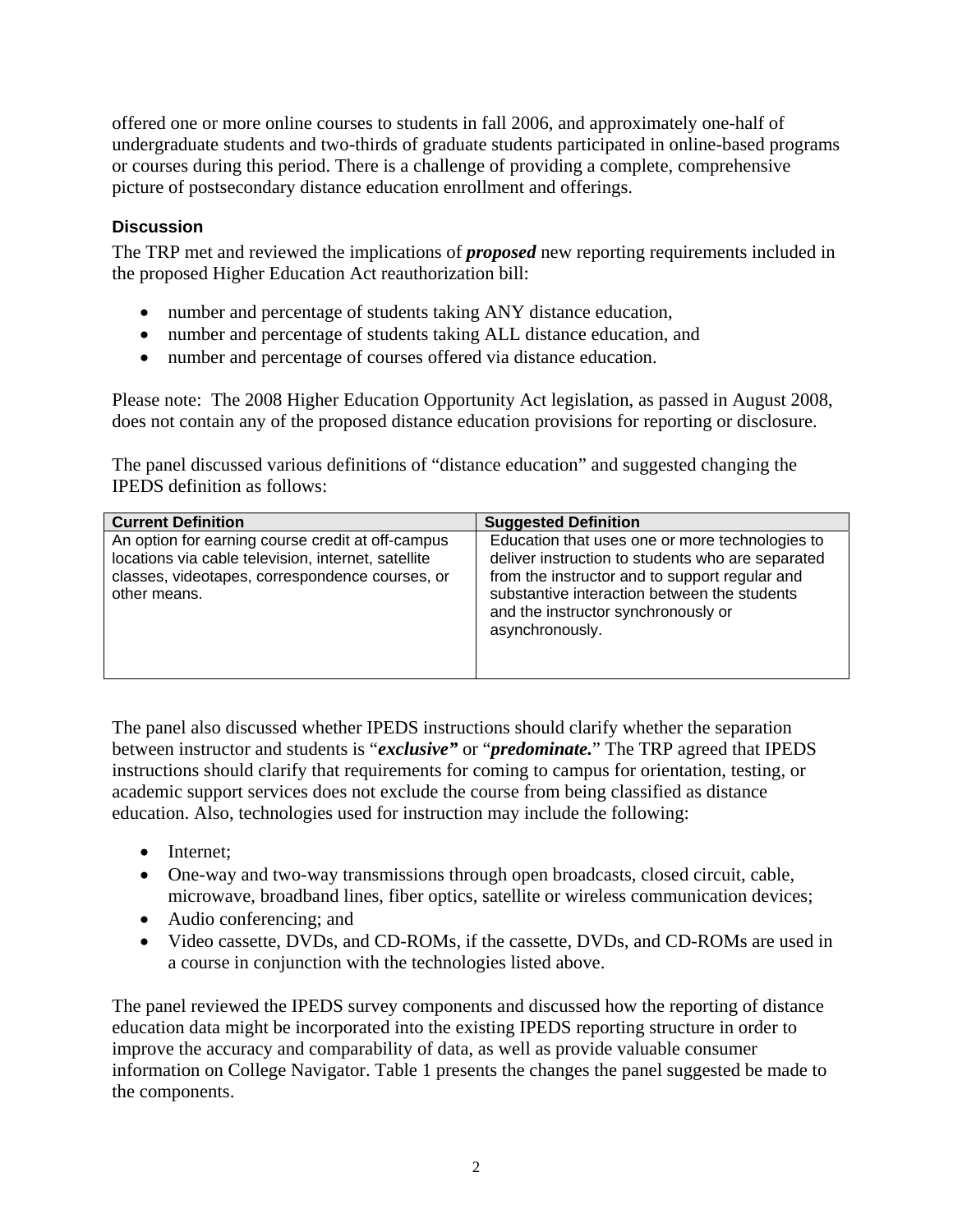offered one or more online courses to students in fall 2006, and approximately one-half of undergraduate students and two-thirds of graduate students participated in online-based programs or courses during this period. There is a challenge of providing a complete, comprehensive picture of postsecondary distance education enrollment and offerings.

## **Discussion**

The TRP met and reviewed the implications of *proposed* new reporting requirements included in the proposed Higher Education Act reauthorization bill:

- number and percentage of students taking ANY distance education,
- number and percentage of students taking ALL distance education, and
- number and percentage of courses offered via distance education.

Please note: The 2008 Higher Education Opportunity Act legislation, as passed in August 2008, does not contain any of the proposed distance education provisions for reporting or disclosure.

The panel discussed various definitions of "distance education" and suggested changing the IPEDS definition as follows:

| <b>Current Definition</b>                                                                                                                                                   | <b>Suggested Definition</b>                                                                                                                                                                                                                                      |
|-----------------------------------------------------------------------------------------------------------------------------------------------------------------------------|------------------------------------------------------------------------------------------------------------------------------------------------------------------------------------------------------------------------------------------------------------------|
| An option for earning course credit at off-campus<br>locations via cable television, internet, satellite<br>classes, videotapes, correspondence courses, or<br>other means. | Education that uses one or more technologies to<br>deliver instruction to students who are separated<br>from the instructor and to support regular and<br>substantive interaction between the students<br>and the instructor synchronously or<br>asynchronously. |

The panel also discussed whether IPEDS instructions should clarify whether the separation between instructor and students is "*exclusive"* or "*predominate.*" The TRP agreed that IPEDS instructions should clarify that requirements for coming to campus for orientation, testing, or academic support services does not exclude the course from being classified as distance education. Also, technologies used for instruction may include the following:

- Internet:
- One-way and two-way transmissions through open broadcasts, closed circuit, cable, microwave, broadband lines, fiber optics, satellite or wireless communication devices;
- Audio conferencing; and
- Video cassette, DVDs, and CD-ROMs, if the cassette, DVDs, and CD-ROMs are used in a course in conjunction with the technologies listed above.

The panel reviewed the IPEDS survey components and discussed how the reporting of distance education data might be incorporated into the existing IPEDS reporting structure in order to improve the accuracy and comparability of data, as well as provide valuable consumer information on College Navigator. Table 1 presents the changes the panel suggested be made to the components.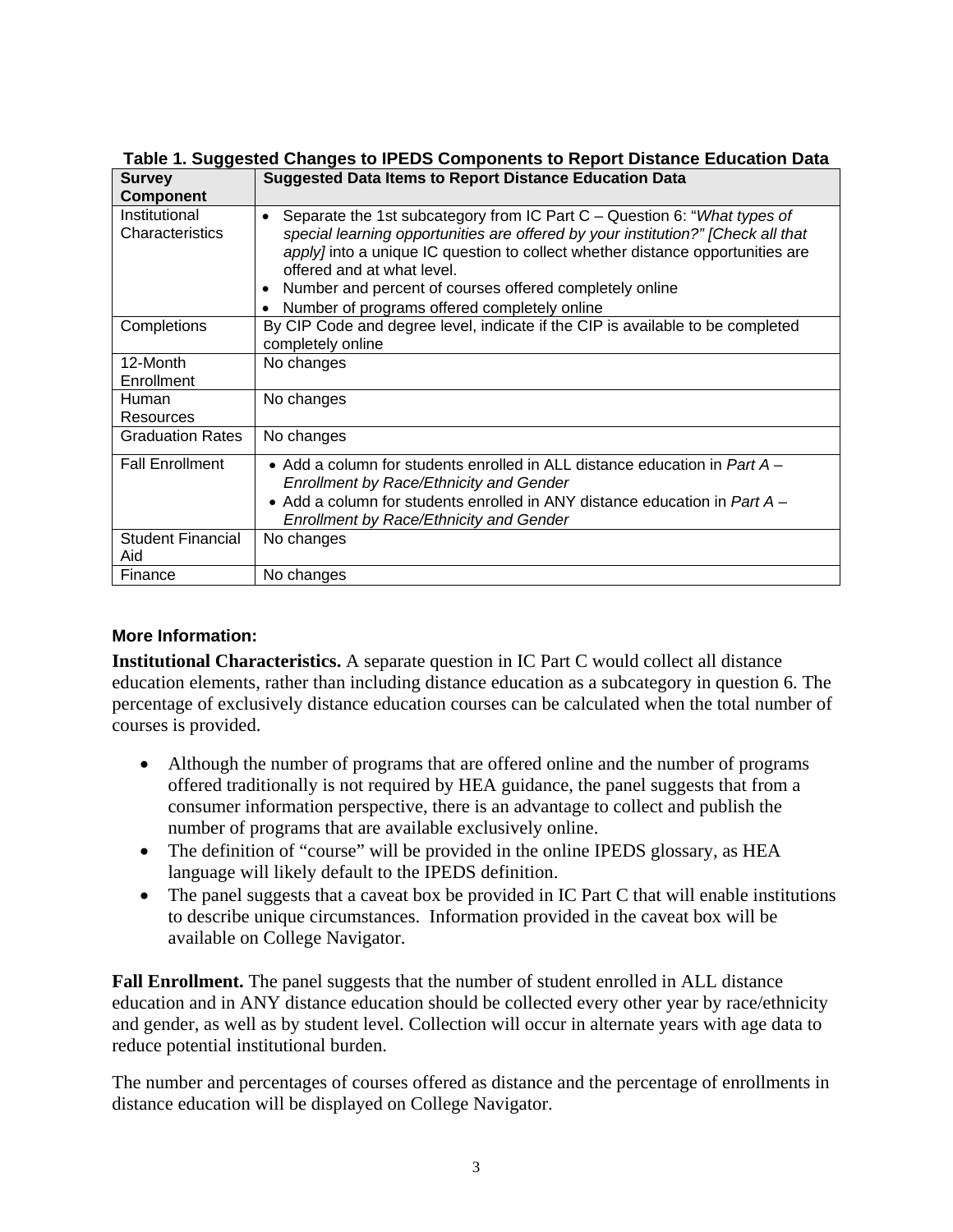| <b>Survey</b>                    | <b>Suggested Data Items to Report Distance Education Data</b>                                                                                                                                                                                                                                                                                                                                                            |
|----------------------------------|--------------------------------------------------------------------------------------------------------------------------------------------------------------------------------------------------------------------------------------------------------------------------------------------------------------------------------------------------------------------------------------------------------------------------|
| <b>Component</b>                 |                                                                                                                                                                                                                                                                                                                                                                                                                          |
| Institutional<br>Characteristics | Separate the 1st subcategory from IC Part C - Question 6: "What types of<br>$\bullet$<br>special learning opportunities are offered by your institution?" [Check all that<br><i>apply]</i> into a unique IC question to collect whether distance opportunities are<br>offered and at what level.<br>Number and percent of courses offered completely online<br>$\bullet$<br>Number of programs offered completely online |
| Completions                      | By CIP Code and degree level, indicate if the CIP is available to be completed<br>completely online                                                                                                                                                                                                                                                                                                                      |
| 12-Month                         | No changes                                                                                                                                                                                                                                                                                                                                                                                                               |
| Enrollment                       |                                                                                                                                                                                                                                                                                                                                                                                                                          |
| <b>Human</b><br>Resources        | No changes                                                                                                                                                                                                                                                                                                                                                                                                               |
| <b>Graduation Rates</b>          | No changes                                                                                                                                                                                                                                                                                                                                                                                                               |
| <b>Fall Enrollment</b>           | • Add a column for students enrolled in ALL distance education in Part $A -$<br><b>Enrollment by Race/Ethnicity and Gender</b><br>• Add a column for students enrolled in ANY distance education in Part $A -$<br><b>Enrollment by Race/Ethnicity and Gender</b>                                                                                                                                                         |
| <b>Student Financial</b><br>Aid  | No changes                                                                                                                                                                                                                                                                                                                                                                                                               |
| Finance                          | No changes                                                                                                                                                                                                                                                                                                                                                                                                               |

**Table 1. Suggested Changes to IPEDS Components to Report Distance Education Data** 

### **More Information:**

**Institutional Characteristics.** A separate question in IC Part C would collect all distance education elements, rather than including distance education as a subcategory in question 6. The percentage of exclusively distance education courses can be calculated when the total number of courses is provided.

- Although the number of programs that are offered online and the number of programs offered traditionally is not required by HEA guidance, the panel suggests that from a consumer information perspective, there is an advantage to collect and publish the number of programs that are available exclusively online.
- The definition of "course" will be provided in the online IPEDS glossary, as HEA language will likely default to the IPEDS definition.
- The panel suggests that a caveat box be provided in IC Part C that will enable institutions to describe unique circumstances. Information provided in the caveat box will be available on College Navigator.

**Fall Enrollment.** The panel suggests that the number of student enrolled in ALL distance education and in ANY distance education should be collected every other year by race/ethnicity and gender, as well as by student level. Collection will occur in alternate years with age data to reduce potential institutional burden.

The number and percentages of courses offered as distance and the percentage of enrollments in distance education will be displayed on College Navigator.